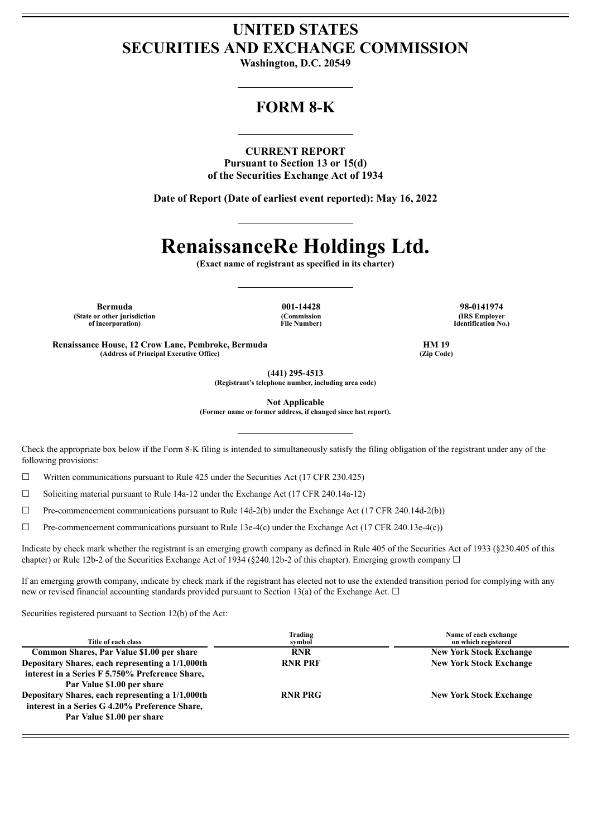## **UNITED STATES SECURITIES AND EXCHANGE COMMISSION**

**Washington, D.C. 20549**

## **FORM 8-K**

**CURRENT REPORT Pursuant to Section 13 or 15(d) of the Securities Exchange Act of 1934**

**Date of Report (Date of earliest event reported): May 16, 2022**

# **RenaissanceRe Holdings Ltd.**

**(Exact name of registrant as specified in its charter)**

**Bermuda 001-14428 98-0141974 (State or other jurisdiction of incorporation)**

**(Commission File Number)**

**(IRS Employer Identification No.)**

**Renaissance House, 12 Crow Lane, Pembroke, Bermuda HM 19 (Address of Principal Executive Office) (Zip Code)**

**(441) 295-4513 (Registrant's telephone number, including area code)**

**Not Applicable**

**(Former name or former address, if changed since last report).**

Check the appropriate box below if the Form 8-K filing is intended to simultaneously satisfy the filing obligation of the registrant under any of the following provisions:

☐ Written communications pursuant to Rule 425 under the Securities Act (17 CFR 230.425)

☐ Soliciting material pursuant to Rule 14a-12 under the Exchange Act (17 CFR 240.14a-12)

 $\Box$  Pre-commencement communications pursuant to Rule 14d-2(b) under the Exchange Act (17 CFR 240.14d-2(b))

☐ Pre-commencement communications pursuant to Rule 13e-4(c) under the Exchange Act (17 CFR 240.13e-4(c))

Indicate by check mark whether the registrant is an emerging growth company as defined in Rule 405 of the Securities Act of 1933 (§230.405 of this chapter) or Rule 12b-2 of the Securities Exchange Act of 1934 (§240.12b-2 of this chapter). Emerging growth company  $\Box$ 

If an emerging growth company, indicate by check mark if the registrant has elected not to use the extended transition period for complying with any new or revised financial accounting standards provided pursuant to Section 13(a) of the Exchange Act.  $\Box$ 

Securities registered pursuant to Section 12(b) of the Act:

| Title of each class                              | Trading<br>symbol | Name of each exchange<br>on which registered |
|--------------------------------------------------|-------------------|----------------------------------------------|
| Common Shares, Par Value \$1.00 per share        | <b>RNR</b>        | <b>New York Stock Exchange</b>               |
| Depositary Shares, each representing a 1/1,000th | <b>RNR PRF</b>    | <b>New York Stock Exchange</b>               |
| interest in a Series F 5.750% Preference Share,  |                   |                                              |
| Par Value \$1.00 per share                       |                   |                                              |
| Depositary Shares, each representing a 1/1,000th | <b>RNR PRG</b>    | <b>New York Stock Exchange</b>               |
| interest in a Series G 4.20% Preference Share,   |                   |                                              |
| Par Value \$1.00 per share                       |                   |                                              |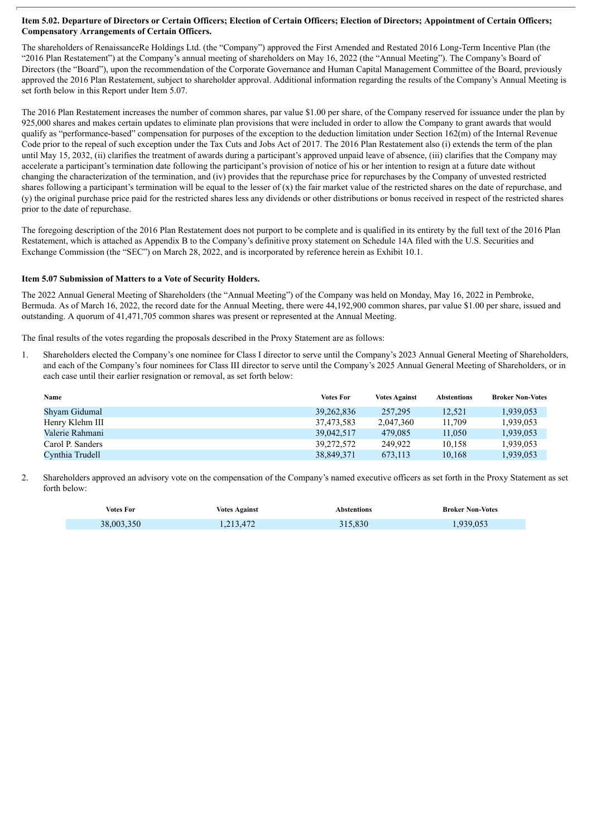#### Item 5.02. Departure of Directors or Certain Officers; Election of Certain Officers; Election of Directors; Appointment of Certain Officers; **Compensatory Arrangements of Certain Officers.**

The shareholders of RenaissanceRe Holdings Ltd. (the "Company") approved the First Amended and Restated 2016 Long-Term Incentive Plan (the "2016 Plan Restatement") at the Company's annual meeting of shareholders on May 16, 2022 (the "Annual Meeting"). The Company's Board of Directors (the "Board"), upon the recommendation of the Corporate Governance and Human Capital Management Committee of the Board, previously approved the 2016 Plan Restatement, subject to shareholder approval. Additional information regarding the results of the Company's Annual Meeting is set forth below in this Report under Item 5.07.

The 2016 Plan Restatement increases the number of common shares, par value \$1.00 per share, of the Company reserved for issuance under the plan by 925,000 shares and makes certain updates to eliminate plan provisions that were included in order to allow the Company to grant awards that would qualify as "performance-based" compensation for purposes of the exception to the deduction limitation under Section 162(m) of the Internal Revenue Code prior to the repeal of such exception under the Tax Cuts and Jobs Act of 2017. The 2016 Plan Restatement also (i) extends the term of the plan until May 15, 2032, (ii) clarifies the treatment of awards during a participant's approved unpaid leave of absence, (iii) clarifies that the Company may accelerate a participant's termination date following the participant's provision of notice of his or her intention to resign at a future date without changing the characterization of the termination, and (iv) provides that the repurchase price for repurchases by the Company of unvested restricted shares following a participant's termination will be equal to the lesser of  $(x)$  the fair market value of the restricted shares on the date of repurchase, and (y) the original purchase price paid for the restricted shares less any dividends or other distributions or bonus received in respect of the restricted shares prior to the date of repurchase.

The foregoing description of the 2016 Plan Restatement does not purport to be complete and is qualified in its entirety by the full text of the 2016 Plan Restatement, which is attached as Appendix B to the Company's definitive proxy statement on Schedule 14A filed with the U.S. Securities and Exchange Commission (the "SEC") on March 28, 2022, and is incorporated by reference herein as Exhibit 10.1.

#### **Item 5.07 Submission of Matters to a Vote of Security Holders.**

The 2022 Annual General Meeting of Shareholders (the "Annual Meeting") of the Company was held on Monday, May 16, 2022 in Pembroke, Bermuda. As of March 16, 2022, the record date for the Annual Meeting, there were 44,192,900 common shares, par value \$1.00 per share, issued and outstanding. A quorum of 41,471,705 common shares was present or represented at the Annual Meeting.

The final results of the votes regarding the proposals described in the Proxy Statement are as follows:

1. Shareholders elected the Company's one nominee for Class I director to serve until the Company's 2023 Annual General Meeting of Shareholders, and each of the Company's four nominees for Class III director to serve until the Company's 2025 Annual General Meeting of Shareholders, or in each case until their earlier resignation or removal, as set forth below:

| Name             | <b>Votes For</b> | <b>Votes Against</b> | <b>Abstentions</b> | <b>Broker Non-Votes</b> |
|------------------|------------------|----------------------|--------------------|-------------------------|
| Shyam Gidumal    | 39.262.836       | 257,295              | 12.521             | 1.939.053               |
| Henry Klehm III  | 37,473,583       | 2,047,360            | 11.709             | 1,939,053               |
| Valerie Rahmani  | 39,042,517       | 479.085              | 11.050             | 1,939,053               |
| Carol P. Sanders | 39,272,572       | 249.922              | 10.158             | 1,939,053               |
| Cynthia Trudell  | 38,849,371       | 673.113              | 10.168             | 1.939.053               |

2. Shareholders approved an advisory vote on the compensation of the Company's named executive officers as set forth in the Proxy Statement as set forth below:

| <b>Votes For</b> | <b>Votes Against</b> | Abstentions | <b>Broker Non-Votes</b> |
|------------------|----------------------|-------------|-------------------------|
| 38,003,350       | 1,213,472            | 315,830     | 1,939,053               |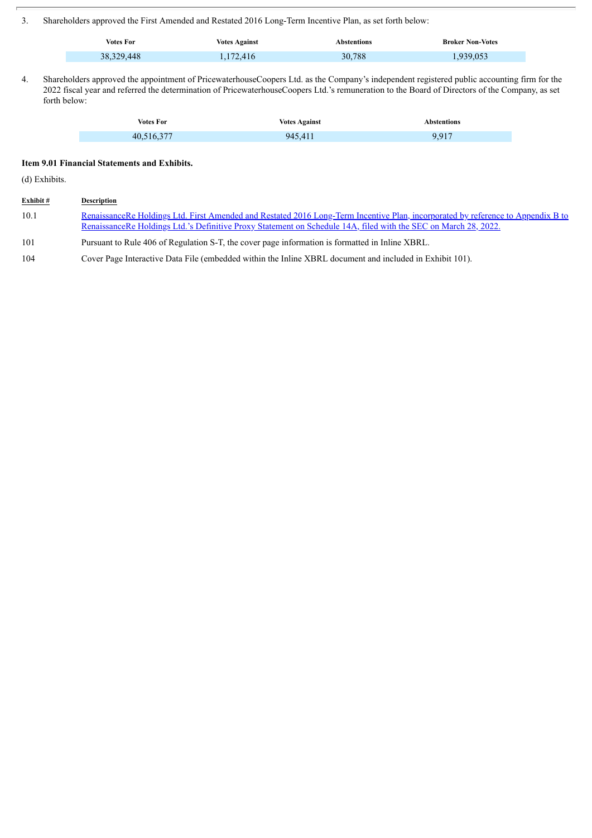3. Shareholders approved the First Amended and Restated 2016 Long-Term Incentive Plan, as set forth below:

| <b>Votes For</b> | <b>Votes Against</b> | \bstentions | <b>Broker Non-Votes</b> |
|------------------|----------------------|-------------|-------------------------|
| 38, 329, 448     | 1,172,416            | 30,788      | .939.053                |

4. Shareholders approved the appointment of PricewaterhouseCoopers Ltd. as the Company's independent registered public accounting firm for the 2022 fiscal year and referred the determination of PricewaterhouseCoopers Ltd.'s remuneration to the Board of Directors of the Company, as set forth below:

| <b>Votes For</b> | <b>Votes Against</b> | <b>Abstentions</b> |
|------------------|----------------------|--------------------|
| 40,516,377       | 945,411              | 9.917              |

### **Item 9.01 Financial Statements and Exhibits.**

(d) Exhibits.

| Exhibit# | Description                                                                                                                                                                                                                                         |
|----------|-----------------------------------------------------------------------------------------------------------------------------------------------------------------------------------------------------------------------------------------------------|
| 10.1     | RenaissanceRe Holdings Ltd. First Amended and Restated 2016 Long-Term Incentive Plan, incorporated by reference to Appendix B to<br>RenaissanceRe Holdings Ltd.'s Definitive Proxy Statement on Schedule 14A, filed with the SEC on March 28, 2022. |
| 101      | Pursuant to Rule 406 of Regulation S-T, the cover page information is formatted in Inline XBRL.                                                                                                                                                     |
| 104      | Cover Page Interactive Data File (embedded within the Inline XBRL document and included in Exhibit 101).                                                                                                                                            |